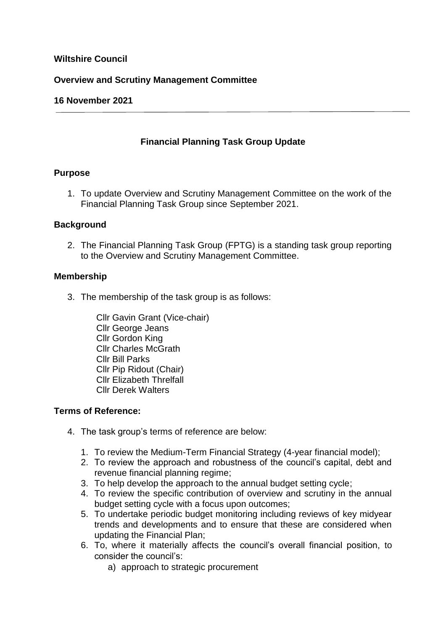# **Wiltshire Council**

### **Overview and Scrutiny Management Committee**

## **16 November 2021**

# **Financial Planning Task Group Update**

### **Purpose**

1. To update Overview and Scrutiny Management Committee on the work of the Financial Planning Task Group since September 2021.

### **Background**

2. The Financial Planning Task Group (FPTG) is a standing task group reporting to the Overview and Scrutiny Management Committee.

### **Membership**

3. The membership of the task group is as follows:

Cllr Gavin Grant (Vice-chair) Cllr George Jeans Cllr Gordon King Cllr Charles McGrath Cllr Bill Parks Cllr Pip Ridout (Chair) Cllr Elizabeth Threlfall Cllr Derek Walters

### **Terms of Reference:**

- 4. The task group's terms of reference are below:
	- 1. To review the Medium-Term Financial Strategy (4-year financial model);
	- 2. To review the approach and robustness of the council's capital, debt and revenue financial planning regime;
	- 3. To help develop the approach to the annual budget setting cycle;
	- 4. To review the specific contribution of overview and scrutiny in the annual budget setting cycle with a focus upon outcomes;
	- 5. To undertake periodic budget monitoring including reviews of key midyear trends and developments and to ensure that these are considered when updating the Financial Plan;
	- 6. To, where it materially affects the council's overall financial position, to consider the council's:
		- a) approach to strategic procurement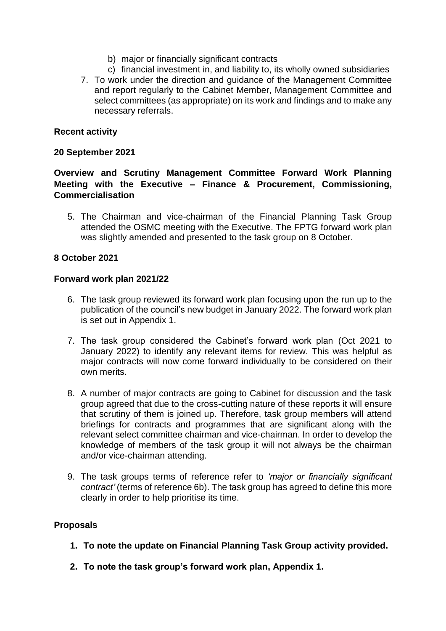- b) major or financially significant contracts
- c) financial investment in, and liability to, its wholly owned subsidiaries
- 7. To work under the direction and guidance of the Management Committee and report regularly to the Cabinet Member, Management Committee and select committees (as appropriate) on its work and findings and to make any necessary referrals.

### **Recent activity**

### **20 September 2021**

# **Overview and Scrutiny Management Committee Forward Work Planning Meeting with the Executive – Finance & Procurement, Commissioning, Commercialisation**

5. The Chairman and vice-chairman of the Financial Planning Task Group attended the OSMC meeting with the Executive. The FPTG forward work plan was slightly amended and presented to the task group on 8 October.

### **8 October 2021**

### **Forward work plan 2021/22**

- 6. The task group reviewed its forward work plan focusing upon the run up to the publication of the council's new budget in January 2022. The forward work plan is set out in Appendix 1.
- 7. The task group considered the Cabinet's forward work plan (Oct 2021 to January 2022) to identify any relevant items for review. This was helpful as major contracts will now come forward individually to be considered on their own merits.
- 8. A number of major contracts are going to Cabinet for discussion and the task group agreed that due to the cross-cutting nature of these reports it will ensure that scrutiny of them is joined up. Therefore, task group members will attend briefings for contracts and programmes that are significant along with the relevant select committee chairman and vice-chairman. In order to develop the knowledge of members of the task group it will not always be the chairman and/or vice-chairman attending.
- 9. The task groups terms of reference refer to *'major or financially significant contract'* (terms of reference 6b). The task group has agreed to define this more clearly in order to help prioritise its time.

### **Proposals**

- **1. To note the update on Financial Planning Task Group activity provided.**
- **2. To note the task group's forward work plan, Appendix 1.**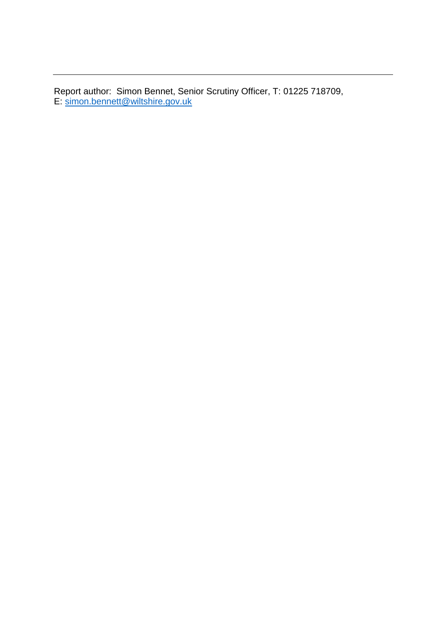Report author: Simon Bennet, Senior Scrutiny Officer, T: 01225 718709, E: [simon.bennett@wiltshire.gov.uk](mailto:simon.bennett@wiltshire.gov.uk)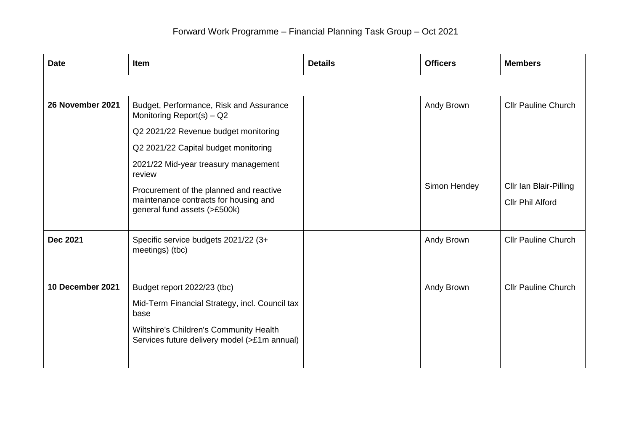| <b>Date</b>      | <b>Item</b>                                                                                                      | <b>Details</b> | <b>Officers</b> | <b>Members</b>                             |
|------------------|------------------------------------------------------------------------------------------------------------------|----------------|-----------------|--------------------------------------------|
|                  |                                                                                                                  |                |                 |                                            |
| 26 November 2021 | Budget, Performance, Risk and Assurance<br>Monitoring Report(s) - Q2                                             |                | Andy Brown      | <b>Cllr Pauline Church</b>                 |
|                  | Q2 2021/22 Revenue budget monitoring                                                                             |                |                 |                                            |
|                  | Q2 2021/22 Capital budget monitoring                                                                             |                |                 |                                            |
|                  | 2021/22 Mid-year treasury management<br>review                                                                   |                |                 |                                            |
|                  | Procurement of the planned and reactive<br>maintenance contracts for housing and<br>general fund assets (>£500k) |                | Simon Hendey    | Cllr Ian Blair-Pilling<br>Cllr Phil Alford |
| <b>Dec 2021</b>  | Specific service budgets 2021/22 (3+<br>meetings) (tbc)                                                          |                | Andy Brown      | <b>Cllr Pauline Church</b>                 |
| 10 December 2021 | Budget report 2022/23 (tbc)                                                                                      |                | Andy Brown      | <b>Cllr Pauline Church</b>                 |
|                  | Mid-Term Financial Strategy, incl. Council tax<br>base                                                           |                |                 |                                            |
|                  | Wiltshire's Children's Community Health<br>Services future delivery model (>£1m annual)                          |                |                 |                                            |